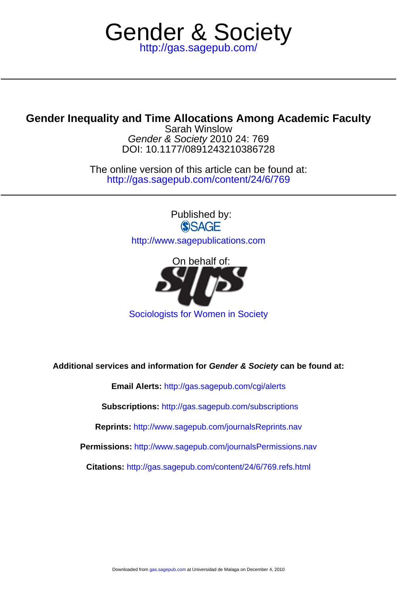# <http://gas.sagepub.com/> Gender & Society

# **Gender Inequality and Time Allocations Among Academic Faculty**

DOI: 10.1177/0891243210386728 Gender & Society 2010 24: 769 Sarah Winslow

<http://gas.sagepub.com/content/24/6/769> The online version of this article can be found at:

> Published by:<br>
> SAGE <http://www.sagepublications.com> On behalf of:



# **Additional services and information for Gender & Society can be found at:**

**Email Alerts:** <http://gas.sagepub.com/cgi/alerts>

**Subscriptions:** <http://gas.sagepub.com/subscriptions>

**Reprints:** <http://www.sagepub.com/journalsReprints.nav>

**Permissions:** <http://www.sagepub.com/journalsPermissions.nav>

**Citations:** <http://gas.sagepub.com/content/24/6/769.refs.html>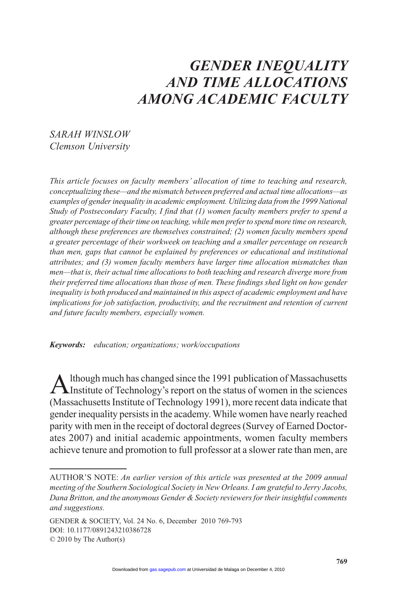# *GENDER INEQUALITY AND TIME ALLOCATIONS AMONG ACADEMIC FACULTY*

# *SARAH WINSLOW Clemson University*

*This article focuses on faculty members' allocation of time to teaching and research, conceptualizing these—and the mismatch between preferred and actual time allocations—as*  examples of gender inequality in academic employment. Utilizing data from the 1999 National *Study of Postsecondary Faculty, I find that (1) women faculty members prefer to spend a greater percentage of their time on teaching, while men prefer to spend more time on research, although these preferences are themselves constrained; (2) women faculty members spend a greater percentage of their workweek on teaching and a smaller percentage on research than men, gaps that cannot be explained by preferences or educational and institutional attributes; and (3) women faculty members have larger time allocation mismatches than men—that is, their actual time allocations to both teaching and research diverge more from their preferred time allocations than those of men. These findings shed light on how gender inequality is both produced and maintained in this aspect of academic employment and have implications for job satisfaction, productivity, and the recruitment and retention of current and future faculty members, especially women.*

*Keywords: education; organizations; work/occupations*

A Ithough much has changed since the 1991 publication of Massachusetts Institute of Technology's report on the status of women in the sciences (Massachusetts Institute of Technology 1991), more recent data indicate that gender inequality persists in the academy. While women have nearly reached parity with men in the receipt of doctoral degrees (Survey of Earned Doctorates 2007) and initial academic appointments, women faculty members achieve tenure and promotion to full professor at a slower rate than men, are

AUTHOR'S NOTE: *An earlier version of this article was presented at the 2009 annual meeting of the Southern Sociological Society in New Orleans. I am grateful to Jerry Jacobs, Dana Britton, and the anonymous Gender & Society reviewers for their insightful comments and suggestions.*

GENDER & SOCIETY, Vol. 24 No. 6, December 2010 769-793 DOI: 10.1177/0891243210386728 © 2010 by The Author(s)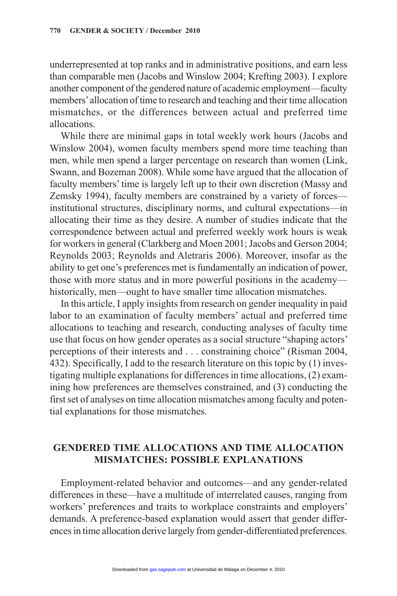underrepresented at top ranks and in administrative positions, and earn less than comparable men (Jacobs and Winslow 2004; Krefting 2003). I explore another component of the gendered nature of academic employment—faculty members' allocation of time to research and teaching and their time allocation mismatches, or the differences between actual and preferred time allocations.

While there are minimal gaps in total weekly work hours (Jacobs and Winslow 2004), women faculty members spend more time teaching than men, while men spend a larger percentage on research than women (Link, Swann, and Bozeman 2008). While some have argued that the allocation of faculty members' time is largely left up to their own discretion (Massy and Zemsky 1994), faculty members are constrained by a variety of forces institutional structures, disciplinary norms, and cultural expectations—in allocating their time as they desire. A number of studies indicate that the correspondence between actual and preferred weekly work hours is weak for workers in general (Clarkberg and Moen 2001; Jacobs and Gerson 2004; Reynolds 2003; Reynolds and Aletraris 2006). Moreover, insofar as the ability to get one's preferences met is fundamentally an indication of power, those with more status and in more powerful positions in the academy historically, men—ought to have smaller time allocation mismatches.

In this article, I apply insights from research on gender inequality in paid labor to an examination of faculty members' actual and preferred time allocations to teaching and research, conducting analyses of faculty time use that focus on how gender operates as a social structure "shaping actors' perceptions of their interests and . . . constraining choice" (Risman 2004, 432). Specifically, I add to the research literature on this topic by (1) investigating multiple explanations for differences in time allocations, (2) examining how preferences are themselves constrained, and (3) conducting the first set of analyses on time allocation mismatches among faculty and potential explanations for those mismatches.

# **GENDERED TIME ALLOCATIONS AND TIME ALLOCATION MISMATCHES: POSSIBLE EXPLANATIONS**

Employment-related behavior and outcomes—and any gender-related differences in these—have a multitude of interrelated causes, ranging from workers' preferences and traits to workplace constraints and employers' demands. A preference-based explanation would assert that gender differences in time allocation derive largely from gender-differentiated preferences.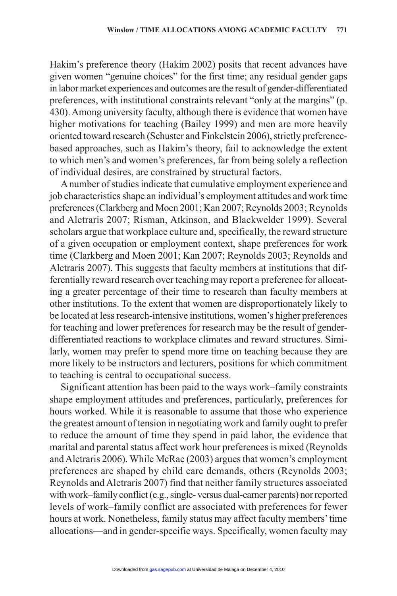Hakim's preference theory (Hakim 2002) posits that recent advances have given women "genuine choices" for the first time; any residual gender gaps in labor market experiences and outcomes are the result of gender-differentiated preferences, with institutional constraints relevant "only at the margins" (p. 430). Among university faculty, although there is evidence that women have higher motivations for teaching (Bailey 1999) and men are more heavily oriented toward research (Schuster and Finkelstein 2006), strictly preferencebased approaches, such as Hakim's theory, fail to acknowledge the extent to which men's and women's preferences, far from being solely a reflection of individual desires, are constrained by structural factors.

A number of studies indicate that cumulative employment experience and job characteristics shape an individual's employment attitudes and work time preferences (Clarkberg and Moen 2001; Kan 2007; Reynolds 2003; Reynolds and Aletraris 2007; Risman, Atkinson, and Blackwelder 1999). Several scholars argue that workplace culture and, specifically, the reward structure of a given occupation or employment context, shape preferences for work time (Clarkberg and Moen 2001; Kan 2007; Reynolds 2003; Reynolds and Aletraris 2007). This suggests that faculty members at institutions that differentially reward research over teaching may report a preference for allocating a greater percentage of their time to research than faculty members at other institutions. To the extent that women are disproportionately likely to be located at less research-intensive institutions, women's higher preferences for teaching and lower preferences for research may be the result of genderdifferentiated reactions to workplace climates and reward structures. Similarly, women may prefer to spend more time on teaching because they are more likely to be instructors and lecturers, positions for which commitment to teaching is central to occupational success.

Significant attention has been paid to the ways work–family constraints shape employment attitudes and preferences, particularly, preferences for hours worked. While it is reasonable to assume that those who experience the greatest amount of tension in negotiating work and family ought to prefer to reduce the amount of time they spend in paid labor, the evidence that marital and parental status affect work hour preferences is mixed (Reynolds and Aletraris 2006). While McRae (2003) argues that women's employment preferences are shaped by child care demands, others (Reynolds 2003; Reynolds and Aletraris 2007) find that neither family structures associated with work–family conflict (e.g., single- versus dual-earner parents) nor reported levels of work–family conflict are associated with preferences for fewer hours at work. Nonetheless, family status may affect faculty members' time allocations—and in gender-specific ways. Specifically, women faculty may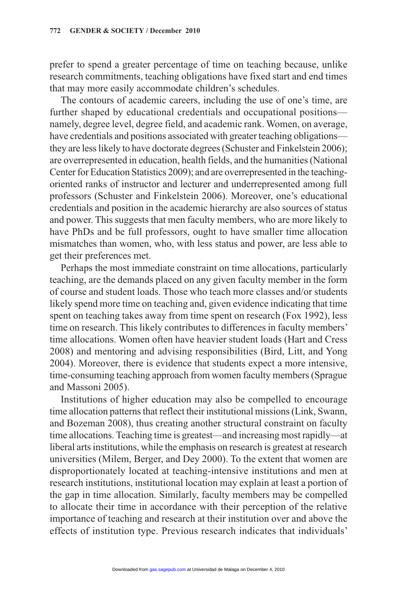prefer to spend a greater percentage of time on teaching because, unlike research commitments, teaching obligations have fixed start and end times that may more easily accommodate children's schedules.

The contours of academic careers, including the use of one's time, are further shaped by educational credentials and occupational positions namely, degree level, degree field, and academic rank. Women, on average, have credentials and positions associated with greater teaching obligations they are less likely to have doctorate degrees (Schuster and Finkelstein 2006); are overrepresented in education, health fields, and the humanities (National Center for Education Statistics 2009); and are overrepresented in the teachingoriented ranks of instructor and lecturer and underrepresented among full professors (Schuster and Finkelstein 2006). Moreover, one's educational credentials and position in the academic hierarchy are also sources of status and power. This suggests that men faculty members, who are more likely to have PhDs and be full professors, ought to have smaller time allocation mismatches than women, who, with less status and power, are less able to get their preferences met.

Perhaps the most immediate constraint on time allocations, particularly teaching, are the demands placed on any given faculty member in the form of course and student loads. Those who teach more classes and/or students likely spend more time on teaching and, given evidence indicating that time spent on teaching takes away from time spent on research (Fox 1992), less time on research. This likely contributes to differences in faculty members' time allocations. Women often have heavier student loads (Hart and Cress 2008) and mentoring and advising responsibilities (Bird, Litt, and Yong 2004). Moreover, there is evidence that students expect a more intensive, time-consuming teaching approach from women faculty members (Sprague and Massoni 2005).

Institutions of higher education may also be compelled to encourage time allocation patterns that reflect their institutional missions (Link, Swann, and Bozeman 2008), thus creating another structural constraint on faculty time allocations. Teaching time is greatest—and increasing most rapidly—at liberal arts institutions, while the emphasis on research is greatest at research universities (Milem, Berger, and Dey 2000). To the extent that women are disproportionately located at teaching-intensive institutions and men at research institutions, institutional location may explain at least a portion of the gap in time allocation. Similarly, faculty members may be compelled to allocate their time in accordance with their perception of the relative importance of teaching and research at their institution over and above the effects of institution type. Previous research indicates that individuals'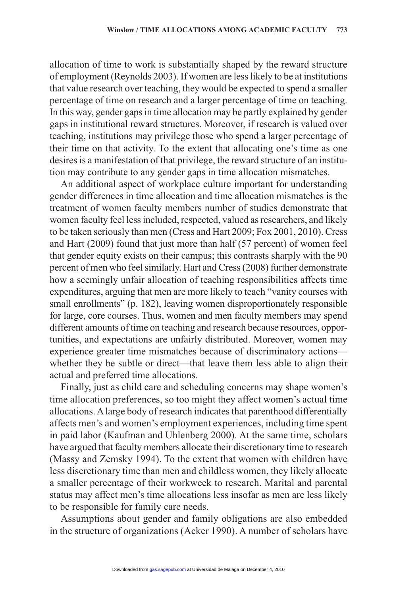allocation of time to work is substantially shaped by the reward structure of employment (Reynolds 2003). If women are less likely to be at institutions that value research over teaching, they would be expected to spend a smaller percentage of time on research and a larger percentage of time on teaching. In this way, gender gaps in time allocation may be partly explained by gender gaps in institutional reward structures. Moreover, if research is valued over teaching, institutions may privilege those who spend a larger percentage of their time on that activity. To the extent that allocating one's time as one desires is a manifestation of that privilege, the reward structure of an institution may contribute to any gender gaps in time allocation mismatches.

An additional aspect of workplace culture important for understanding gender differences in time allocation and time allocation mismatches is the treatment of women faculty members number of studies demonstrate that women faculty feel less included, respected, valued as researchers, and likely to be taken seriously than men (Cress and Hart 2009; Fox 2001, 2010). Cress and Hart (2009) found that just more than half (57 percent) of women feel that gender equity exists on their campus; this contrasts sharply with the 90 percent of men who feel similarly. Hart and Cress (2008) further demonstrate how a seemingly unfair allocation of teaching responsibilities affects time expenditures, arguing that men are more likely to teach "vanity courses with small enrollments" (p. 182), leaving women disproportionately responsible for large, core courses. Thus, women and men faculty members may spend different amounts of time on teaching and research because resources, opportunities, and expectations are unfairly distributed. Moreover, women may experience greater time mismatches because of discriminatory actions whether they be subtle or direct—that leave them less able to align their actual and preferred time allocations.

Finally, just as child care and scheduling concerns may shape women's time allocation preferences, so too might they affect women's actual time allocations. A large body of research indicates that parenthood differentially affects men's and women's employment experiences, including time spent in paid labor (Kaufman and Uhlenberg 2000). At the same time, scholars have argued that faculty members allocate their discretionary time to research (Massy and Zemsky 1994). To the extent that women with children have less discretionary time than men and childless women, they likely allocate a smaller percentage of their workweek to research. Marital and parental status may affect men's time allocations less insofar as men are less likely to be responsible for family care needs.

Assumptions about gender and family obligations are also embedded in the structure of organizations (Acker 1990). A number of scholars have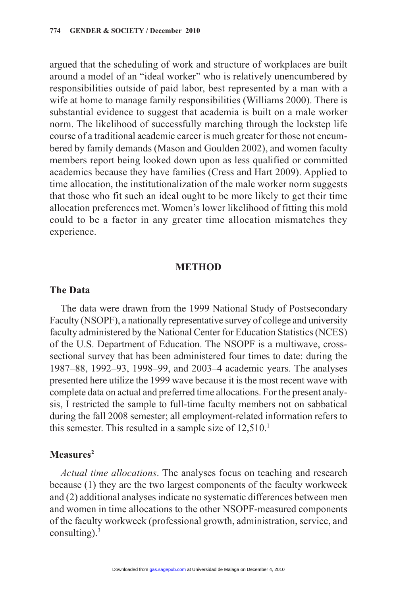argued that the scheduling of work and structure of workplaces are built around a model of an "ideal worker" who is relatively unencumbered by responsibilities outside of paid labor, best represented by a man with a wife at home to manage family responsibilities (Williams 2000). There is substantial evidence to suggest that academia is built on a male worker norm. The likelihood of successfully marching through the lockstep life course of a traditional academic career is much greater for those not encumbered by family demands (Mason and Goulden 2002), and women faculty members report being looked down upon as less qualified or committed academics because they have families (Cress and Hart 2009). Applied to time allocation, the institutionalization of the male worker norm suggests that those who fit such an ideal ought to be more likely to get their time allocation preferences met. Women's lower likelihood of fitting this mold could to be a factor in any greater time allocation mismatches they experience.

#### **METHOD**

#### **The Data**

The data were drawn from the 1999 National Study of Postsecondary Faculty (NSOPF), a nationally representative survey of college and university faculty administered by the National Center for Education Statistics (NCES) of the U.S. Department of Education. The NSOPF is a multiwave, crosssectional survey that has been administered four times to date: during the 1987–88, 1992–93, 1998–99, and 2003–4 academic years. The analyses presented here utilize the 1999 wave because it is the most recent wave with complete data on actual and preferred time allocations. For the present analysis, I restricted the sample to full-time faculty members not on sabbatical during the fall 2008 semester; all employment-related information refers to this semester. This resulted in a sample size of 12,510.<sup>1</sup>

#### **Measures2**

*Actual time allocations*. The analyses focus on teaching and research because (1) they are the two largest components of the faculty workweek and (2) additional analyses indicate no systematic differences between men and women in time allocations to the other NSOPF-measured components of the faculty workweek (professional growth, administration, service, and consulting). $3$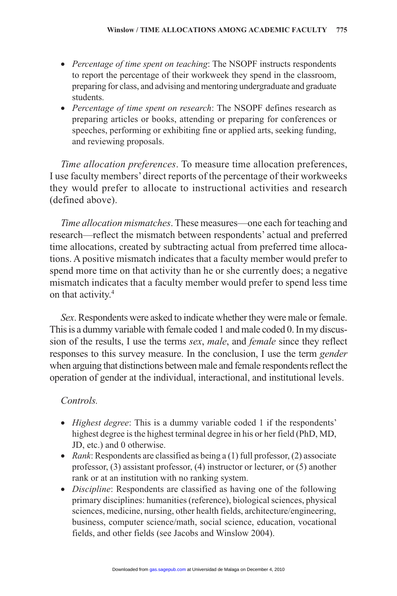- *Percentage of time spent on teaching*: The NSOPF instructs respondents to report the percentage of their workweek they spend in the classroom, preparing for class, and advising and mentoring undergraduate and graduate students.
- *Percentage of time spent on research*: The NSOPF defines research as preparing articles or books, attending or preparing for conferences or speeches, performing or exhibiting fine or applied arts, seeking funding, and reviewing proposals.

*Time allocation preferences*. To measure time allocation preferences, I use faculty members' direct reports of the percentage of their workweeks they would prefer to allocate to instructional activities and research (defined above).

*Time allocation mismatches*. These measures—one each for teaching and research—reflect the mismatch between respondents' actual and preferred time allocations, created by subtracting actual from preferred time allocations. A positive mismatch indicates that a faculty member would prefer to spend more time on that activity than he or she currently does; a negative mismatch indicates that a faculty member would prefer to spend less time on that activity.<sup>4</sup>

*Sex*. Respondents were asked to indicate whether they were male or female. This is a dummy variable with female coded 1 and male coded 0. In my discussion of the results, I use the terms *sex*, *male*, and *female* since they reflect responses to this survey measure. In the conclusion, I use the term *gender* when arguing that distinctions between male and female respondents reflect the operation of gender at the individual, interactional, and institutional levels.

# *Controls.*

- *Highest degree*: This is a dummy variable coded 1 if the respondents' highest degree is the highest terminal degree in his or her field (PhD, MD, JD, etc.) and 0 otherwise.
- *Rank*: Respondents are classified as being a (1) full professor, (2) associate professor, (3) assistant professor, (4) instructor or lecturer, or (5) another rank or at an institution with no ranking system.
- *Discipline*: Respondents are classified as having one of the following primary disciplines: humanities (reference), biological sciences, physical sciences, medicine, nursing, other health fields, architecture/engineering, business, computer science/math, social science, education, vocational fields, and other fields (see Jacobs and Winslow 2004).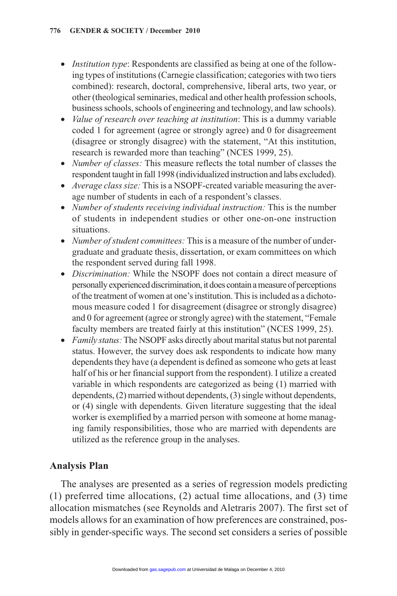- *Institution type*: Respondents are classified as being at one of the following types of institutions (Carnegie classification; categories with two tiers combined): research, doctoral, comprehensive, liberal arts, two year, or other (theological seminaries, medical and other health profession schools, business schools, schools of engineering and technology, and law schools).
- *Value of research over teaching at institution*: This is a dummy variable coded 1 for agreement (agree or strongly agree) and 0 for disagreement (disagree or strongly disagree) with the statement, "At this institution, research is rewarded more than teaching" (NCES 1999, 25).
- *Number of classes:* This measure reflects the total number of classes the respondent taught in fall 1998 (individualized instruction and labs excluded).
- *Average class size:* This is a NSOPF-created variable measuring the average number of students in each of a respondent's classes.
- *Number of students receiving individual instruction:* This is the number of students in independent studies or other one-on-one instruction situations.
- *Number of student committees:* This is a measure of the number of undergraduate and graduate thesis, dissertation, or exam committees on which the respondent served during fall 1998.
- *Discrimination:* While the NSOPF does not contain a direct measure of personally experienced discrimination, it does contain a measure of perceptions of the treatment of women at one's institution. This is included as a dichotomous measure coded 1 for disagreement (disagree or strongly disagree) and 0 for agreement (agree or strongly agree) with the statement, "Female faculty members are treated fairly at this institution" (NCES 1999, 25).
- *Family status:* The NSOPF asks directly about marital status but not parental status. However, the survey does ask respondents to indicate how many dependents they have (a dependent is defined as someone who gets at least half of his or her financial support from the respondent). I utilize a created variable in which respondents are categorized as being (1) married with dependents, (2) married without dependents, (3) single without dependents, or (4) single with dependents. Given literature suggesting that the ideal worker is exemplified by a married person with someone at home managing family responsibilities, those who are married with dependents are utilized as the reference group in the analyses.

# **Analysis Plan**

The analyses are presented as a series of regression models predicting (1) preferred time allocations, (2) actual time allocations, and (3) time allocation mismatches (see Reynolds and Aletraris 2007). The first set of models allows for an examination of how preferences are constrained, possibly in gender-specific ways. The second set considers a series of possible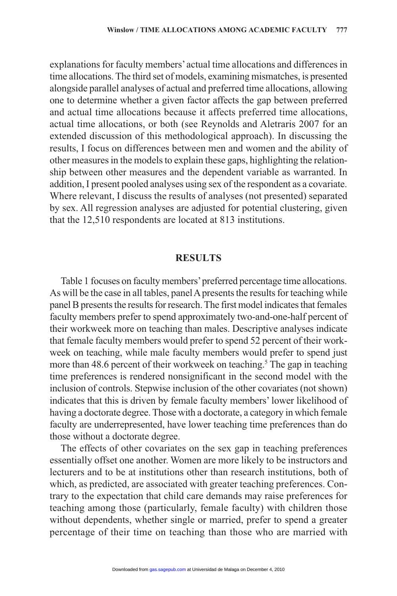explanations for faculty members' actual time allocations and differences in time allocations. The third set of models, examining mismatches, is presented alongside parallel analyses of actual and preferred time allocations, allowing one to determine whether a given factor affects the gap between preferred and actual time allocations because it affects preferred time allocations, actual time allocations, or both (see Reynolds and Aletraris 2007 for an extended discussion of this methodological approach). In discussing the results, I focus on differences between men and women and the ability of other measures in the models to explain these gaps, highlighting the relationship between other measures and the dependent variable as warranted. In addition, I present pooled analyses using sex of the respondent as a covariate. Where relevant, I discuss the results of analyses (not presented) separated by sex. All regression analyses are adjusted for potential clustering, given that the 12,510 respondents are located at 813 institutions.

#### **RESULTS**

Table 1 focuses on faculty members' preferred percentage time allocations. As will be the case in all tables, panel A presents the results for teaching while panel B presents the results for research. The first model indicates that females faculty members prefer to spend approximately two-and-one-half percent of their workweek more on teaching than males. Descriptive analyses indicate that female faculty members would prefer to spend 52 percent of their workweek on teaching, while male faculty members would prefer to spend just more than 48.6 percent of their workweek on teaching.<sup>5</sup> The gap in teaching time preferences is rendered nonsignificant in the second model with the inclusion of controls. Stepwise inclusion of the other covariates (not shown) indicates that this is driven by female faculty members' lower likelihood of having a doctorate degree. Those with a doctorate, a category in which female faculty are underrepresented, have lower teaching time preferences than do those without a doctorate degree.

The effects of other covariates on the sex gap in teaching preferences essentially offset one another. Women are more likely to be instructors and lecturers and to be at institutions other than research institutions, both of which, as predicted, are associated with greater teaching preferences. Contrary to the expectation that child care demands may raise preferences for teaching among those (particularly, female faculty) with children those without dependents, whether single or married, prefer to spend a greater percentage of their time on teaching than those who are married with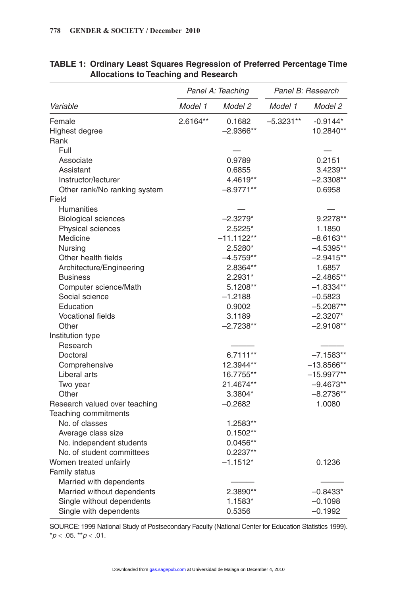|                               |          | Panel A: Teaching |             | Panel B: Research |
|-------------------------------|----------|-------------------|-------------|-------------------|
| Variable                      | Model 1  | Model 2           | Model 1     | Model 2           |
| Female                        | 2.6164** | 0.1682            | $-5.3231**$ | $-0.9144*$        |
| Highest degree                |          | $-2.9366**$       |             | 10.2840**         |
| Rank                          |          |                   |             |                   |
| Full                          |          |                   |             |                   |
| Associate                     |          | 0.9789            |             | 0.2151            |
| Assistant                     |          | 0.6855            |             | 3.4239**          |
| Instructor/lecturer           |          | 4.4619**          |             | $-2.3308**$       |
| Other rank/No ranking system  |          | $-8.9771**$       |             | 0.6958            |
| Field                         |          |                   |             |                   |
| <b>Humanities</b>             |          |                   |             |                   |
| <b>Biological sciences</b>    |          | $-2.3279*$        |             | 9.2278**          |
| Physical sciences             |          | $2.5225*$         |             | 1.1850            |
| Medicine                      |          | $-11.1122**$      |             | $-8.6163**$       |
| Nursing                       |          | 2.5280*           |             | $-4.5395**$       |
| Other health fields           |          | $-4.5759**$       |             | $-2.9415**$       |
| Architecture/Engineering      |          | 2.8364**          |             | 1.6857            |
| <b>Business</b>               |          | 2.2931*           |             | -2.4865**         |
| Computer science/Math         |          | 5.1208**          |             | $-1.8334**$       |
| Social science                |          | $-1.2188$         |             | $-0.5823$         |
| Education                     |          | 0.9002            |             | $-5.2087**$       |
| <b>Vocational fields</b>      |          | 3.1189            |             | $-2.3207*$        |
| Other                         |          | $-2.7238**$       |             | $-2.9108**$       |
| Institution type              |          |                   |             |                   |
| Research                      |          |                   |             |                   |
| Doctoral                      |          | $6.7111**$        |             | $-7.1583**$       |
| Comprehensive                 |          | 12.3944**         |             | $-13.8566**$      |
| Liberal arts                  |          | 16.7755**         |             | $-15.9977**$      |
| Two year                      |          | 21.4674**         |             | $-9.4673**$       |
| Other                         |          | 3.3804*           |             | $-8.2736**$       |
| Research valued over teaching |          | $-0.2682$         |             | 1.0080            |
| Teaching commitments          |          |                   |             |                   |
| No. of classes                |          | 1.2583**          |             |                   |
| Average class size            |          | $0.1502**$        |             |                   |
| No. independent students      |          | $0.0456**$        |             |                   |
| No. of student committees     |          | $0.2237**$        |             |                   |
| Women treated unfairly        |          | $-1.1512*$        |             | 0.1236            |
| Family status                 |          |                   |             |                   |
| Married with dependents       |          |                   |             |                   |
| Married without dependents    |          | 2.3890**          |             | $-0.8433*$        |
| Single without dependents     |          | 1.1583*           |             | $-0.1098$         |
| Single with dependents        |          | 0.5356            |             | $-0.1992$         |

#### **TABLE 1: Ordinary Least Squares Regression of Preferred Percentage Time Allocations to Teaching and Research**

SOURCE: 1999 National Study of Postsecondary Faculty (National Center for Education Statistics 1999). \**p* < .05. \*\**p* < .01.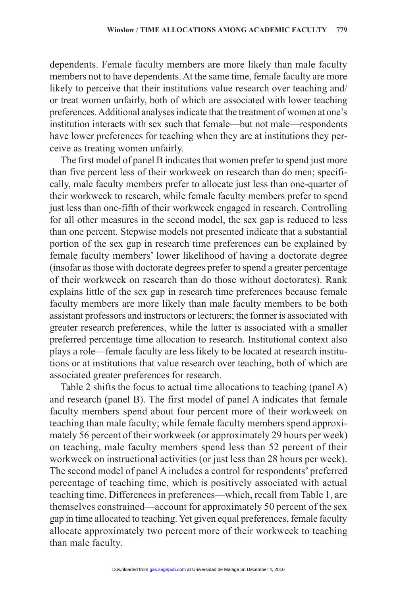dependents. Female faculty members are more likely than male faculty members not to have dependents. At the same time, female faculty are more likely to perceive that their institutions value research over teaching and/ or treat women unfairly, both of which are associated with lower teaching preferences. Additional analyses indicate that the treatment of women at one's institution interacts with sex such that female—but not male—respondents have lower preferences for teaching when they are at institutions they perceive as treating women unfairly.

The first model of panel B indicates that women prefer to spend just more than five percent less of their workweek on research than do men; specifically, male faculty members prefer to allocate just less than one-quarter of their workweek to research, while female faculty members prefer to spend just less than one-fifth of their workweek engaged in research. Controlling for all other measures in the second model, the sex gap is reduced to less than one percent. Stepwise models not presented indicate that a substantial portion of the sex gap in research time preferences can be explained by female faculty members' lower likelihood of having a doctorate degree (insofar as those with doctorate degrees prefer to spend a greater percentage of their workweek on research than do those without doctorates). Rank explains little of the sex gap in research time preferences because female faculty members are more likely than male faculty members to be both assistant professors and instructors or lecturers; the former is associated with greater research preferences, while the latter is associated with a smaller preferred percentage time allocation to research. Institutional context also plays a role—female faculty are less likely to be located at research institutions or at institutions that value research over teaching, both of which are associated greater preferences for research.

Table 2 shifts the focus to actual time allocations to teaching (panel A) and research (panel B). The first model of panel A indicates that female faculty members spend about four percent more of their workweek on teaching than male faculty; while female faculty members spend approximately 56 percent of their workweek (or approximately 29 hours per week) on teaching, male faculty members spend less than 52 percent of their workweek on instructional activities (or just less than 28 hours per week). The second model of panel A includes a control for respondents' preferred percentage of teaching time, which is positively associated with actual teaching time. Differences in preferences—which, recall from Table 1, are themselves constrained—account for approximately 50 percent of the sex gap in time allocated to teaching. Yet given equal preferences, female faculty allocate approximately two percent more of their workweek to teaching than male faculty.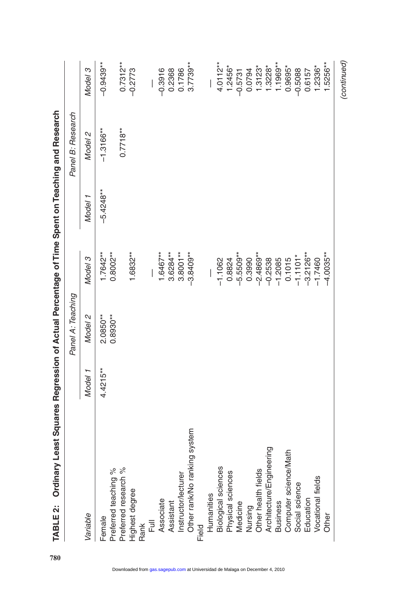| <b>THAT'S CONTROLLING TO THE STATE OF THE STATE OF STATES IN THE STATE IS A STATE OF THE STATE OF A STATE OF THE STATE OF THE STATE OF THE STATE OF THE STATE OF THE STATE OF THE STATE OF THE STATE OF THE STATE OF THE STATE O</b> |             |                   |                          |             |                   |                          |
|--------------------------------------------------------------------------------------------------------------------------------------------------------------------------------------------------------------------------------------|-------------|-------------------|--------------------------|-------------|-------------------|--------------------------|
|                                                                                                                                                                                                                                      |             | Panel A: Teaching |                          |             | Panel B: Research |                          |
| Variable                                                                                                                                                                                                                             | Model 1     | Model 2           | Model 3                  | Model 1     | Model 2           | Model 3                  |
| Female                                                                                                                                                                                                                               | $4.4215***$ | $2.0850***$       | $1.7642***$              | $-5.4248**$ | $-1.3166**$       | $-0.9439**$              |
| Preferred teaching %                                                                                                                                                                                                                 |             | $0.8930***$       | $0.8002***$              |             |                   |                          |
| ুং<br>Preferred research of                                                                                                                                                                                                          |             |                   |                          |             | $0.7718***$       | $0.7312***$              |
| Highest degree<br>Rank                                                                                                                                                                                                               |             |                   | 1.6832**                 |             |                   | $-0.2773$                |
|                                                                                                                                                                                                                                      |             |                   |                          |             |                   |                          |
|                                                                                                                                                                                                                                      |             |                   | $\overline{\phantom{a}}$ |             |                   | $\overline{\phantom{a}}$ |
|                                                                                                                                                                                                                                      |             |                   | $1.6467***$              |             |                   | $-0.3916$                |
|                                                                                                                                                                                                                                      |             |                   | 3.6284**                 |             |                   | 0.2368                   |
|                                                                                                                                                                                                                                      |             |                   | $3.8001***$              |             |                   | 0.1786                   |
| Full<br>Associate<br>Assistant<br>Instructor/lecturer<br>Other rank/No ranking system                                                                                                                                                |             |                   | $-3.8409**$              |             |                   | $3.7739**$               |
| <b>Field</b>                                                                                                                                                                                                                         |             |                   |                          |             |                   |                          |
|                                                                                                                                                                                                                                      |             |                   |                          |             |                   |                          |
|                                                                                                                                                                                                                                      |             |                   | $-1.1062$                |             |                   | $4.0112***$              |
|                                                                                                                                                                                                                                      |             |                   | 0.8824                   |             |                   | 1.2456*                  |
|                                                                                                                                                                                                                                      |             |                   | $-5.5509***$             |             |                   | $-0.5731$                |
|                                                                                                                                                                                                                                      |             |                   | 0.3990                   |             |                   | 0.0794                   |
|                                                                                                                                                                                                                                      |             |                   | $-2.4869***$             |             |                   | 1.3123*                  |
| "Humanities<br>Biological sciences<br>Physical sciences<br>Medicine<br>Mursing<br>Other health fields<br>Architecture/Engineering<br>Business<br>Computer science/Math<br>Social science<br>Education                                |             |                   | $-0.2538$                |             |                   | $.3228*$                 |
|                                                                                                                                                                                                                                      |             |                   | $-1.2085$                |             |                   | 1.1969**                 |
|                                                                                                                                                                                                                                      |             |                   | 0.1015                   |             |                   | $0.9695*$                |
|                                                                                                                                                                                                                                      |             |                   | $-1.1101$ <sup>*</sup>   |             |                   | $-0.5088$                |
|                                                                                                                                                                                                                                      |             |                   | $-3.2126**$              |             |                   | 0.6157                   |
| <b>Vocational fields</b>                                                                                                                                                                                                             |             |                   | $-1.7460$                |             |                   | 1.2336*                  |
| Other                                                                                                                                                                                                                                |             |                   | $-4.0035***$             |             |                   | 1.5256**                 |
|                                                                                                                                                                                                                                      |             |                   |                          |             |                   |                          |

*(continued)*

(continued)

and Doccarch **780 TABLE 2: Ordinary Least Squares Regression of Actual Percentage of Time Spent on Teaching and Research** of Time Creat on Teaching Į of Actual Dercenta ś ي.<br>آ ě á  $\sim$ Ordinary Laget Cau TARI E 2.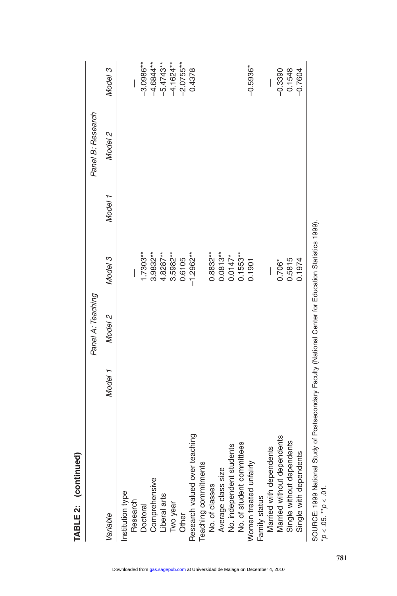|                                                                                                       |         | Panel A: Teaching |                 |         | Panel B: Research |              |
|-------------------------------------------------------------------------------------------------------|---------|-------------------|-----------------|---------|-------------------|--------------|
| Variable                                                                                              | Model 1 | Model 2           | Model 3         | Model 1 | Model 2           | Model 3      |
| Institution type                                                                                      |         |                   |                 |         |                   |              |
| Research                                                                                              |         |                   |                 |         |                   |              |
| Doctoral                                                                                              |         |                   | <b>1.7303**</b> |         |                   | $-3.0986**$  |
|                                                                                                       |         |                   | 3.9832**        |         |                   | $-4.6844**$  |
| Comprehensive<br>Liberal arts                                                                         |         |                   | $4.8287***$     |         |                   | $-5.4743**$  |
| Two year                                                                                              |         |                   | 3.5982**        |         |                   | $-4.1624***$ |
| Other                                                                                                 |         |                   | 0.6105          |         |                   | $-2.0755***$ |
| Research valued over teaching                                                                         |         |                   | $-1.2962**$     |         |                   | 0.4378       |
| Teaching commitments                                                                                  |         |                   |                 |         |                   |              |
| No. of classes                                                                                        |         |                   | 0.8832**        |         |                   |              |
|                                                                                                       |         |                   | $0.0813***$     |         |                   |              |
| Average class size<br>No. independent students                                                        |         |                   | $0.0147*$       |         |                   |              |
| No. of student committees                                                                             |         |                   | $0.1553***$     |         |                   |              |
| Women treated unfairly                                                                                |         |                   | 0.1901          |         |                   | $-0.5936*$   |
| Family status                                                                                         |         |                   |                 |         |                   |              |
| Married with dependents                                                                               |         |                   |                 |         |                   | I            |
| Married without dependents                                                                            |         |                   | $0.706*$        |         |                   | $-0.3390$    |
| Single without dependents                                                                             |         |                   | 0.5815          |         |                   | 0.1548       |
| Single with dependents                                                                                |         |                   | 0.1974          |         |                   | $-0.7604$    |
| SOLIBCE: 1999 National Study of Postsecondary Eagulty (National Center for Education Statistics 1999) |         |                   |                 |         |                   |              |

SOURCE: 1999 National Study of Postsecondary Faculty (National Center for Education Statistics 1999).<br>\*p < .05. \*\*p < .01. SOURCE: 1999 National Study of Postsecondary Faculty (National Center for Education Statistics 1999). \**p* < .05. \*\**p* < .01.

**TABLE 2: (continued)**

TABLE 2: (continued)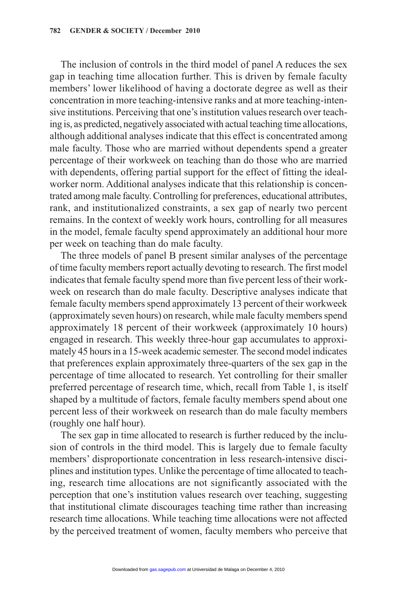The inclusion of controls in the third model of panel A reduces the sex gap in teaching time allocation further. This is driven by female faculty members' lower likelihood of having a doctorate degree as well as their concentration in more teaching-intensive ranks and at more teaching-intensive institutions. Perceiving that one's institution values research over teaching is, as predicted, negatively associated with actual teaching time allocations, although additional analyses indicate that this effect is concentrated among male faculty. Those who are married without dependents spend a greater percentage of their workweek on teaching than do those who are married with dependents, offering partial support for the effect of fitting the idealworker norm. Additional analyses indicate that this relationship is concentrated among male faculty. Controlling for preferences, educational attributes, rank, and institutionalized constraints, a sex gap of nearly two percent remains. In the context of weekly work hours, controlling for all measures in the model, female faculty spend approximately an additional hour more per week on teaching than do male faculty.

The three models of panel B present similar analyses of the percentage of time faculty members report actually devoting to research. The first model indicates that female faculty spend more than five percent less of their workweek on research than do male faculty. Descriptive analyses indicate that female faculty members spend approximately 13 percent of their workweek (approximately seven hours) on research, while male faculty members spend approximately 18 percent of their workweek (approximately 10 hours) engaged in research. This weekly three-hour gap accumulates to approximately 45 hours in a 15-week academic semester. The second model indicates that preferences explain approximately three-quarters of the sex gap in the percentage of time allocated to research. Yet controlling for their smaller preferred percentage of research time, which, recall from Table 1, is itself shaped by a multitude of factors, female faculty members spend about one percent less of their workweek on research than do male faculty members (roughly one half hour).

The sex gap in time allocated to research is further reduced by the inclusion of controls in the third model. This is largely due to female faculty members' disproportionate concentration in less research-intensive disciplines and institution types. Unlike the percentage of time allocated to teaching, research time allocations are not significantly associated with the perception that one's institution values research over teaching, suggesting that institutional climate discourages teaching time rather than increasing research time allocations. While teaching time allocations were not affected by the perceived treatment of women, faculty members who perceive that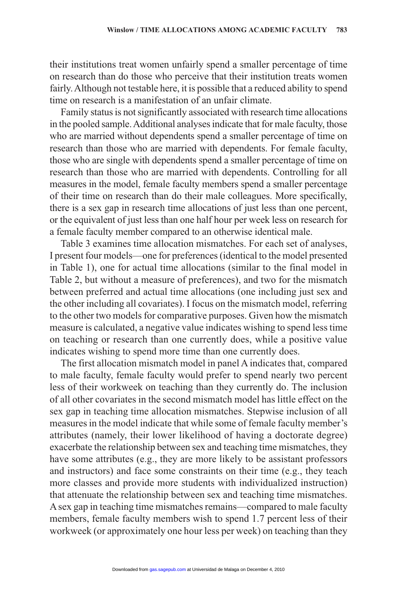their institutions treat women unfairly spend a smaller percentage of time on research than do those who perceive that their institution treats women fairly. Although not testable here, it is possible that a reduced ability to spend time on research is a manifestation of an unfair climate.

Family status is not significantly associated with research time allocations in the pooled sample. Additional analyses indicate that for male faculty, those who are married without dependents spend a smaller percentage of time on research than those who are married with dependents. For female faculty, those who are single with dependents spend a smaller percentage of time on research than those who are married with dependents. Controlling for all measures in the model, female faculty members spend a smaller percentage of their time on research than do their male colleagues. More specifically, there is a sex gap in research time allocations of just less than one percent, or the equivalent of just less than one half hour per week less on research for a female faculty member compared to an otherwise identical male.

Table 3 examines time allocation mismatches. For each set of analyses, I present four models—one for preferences (identical to the model presented in Table 1), one for actual time allocations (similar to the final model in Table 2, but without a measure of preferences), and two for the mismatch between preferred and actual time allocations (one including just sex and the other including all covariates). I focus on the mismatch model, referring to the other two models for comparative purposes. Given how the mismatch measure is calculated, a negative value indicates wishing to spend less time on teaching or research than one currently does, while a positive value indicates wishing to spend more time than one currently does.

The first allocation mismatch model in panel A indicates that, compared to male faculty, female faculty would prefer to spend nearly two percent less of their workweek on teaching than they currently do. The inclusion of all other covariates in the second mismatch model has little effect on the sex gap in teaching time allocation mismatches. Stepwise inclusion of all measures in the model indicate that while some of female faculty member's attributes (namely, their lower likelihood of having a doctorate degree) exacerbate the relationship between sex and teaching time mismatches, they have some attributes (e.g., they are more likely to be assistant professors and instructors) and face some constraints on their time (e.g., they teach more classes and provide more students with individualized instruction) that attenuate the relationship between sex and teaching time mismatches. A sex gap in teaching time mismatches remains—compared to male faculty members, female faculty members wish to spend 1.7 percent less of their workweek (or approximately one hour less per week) on teaching than they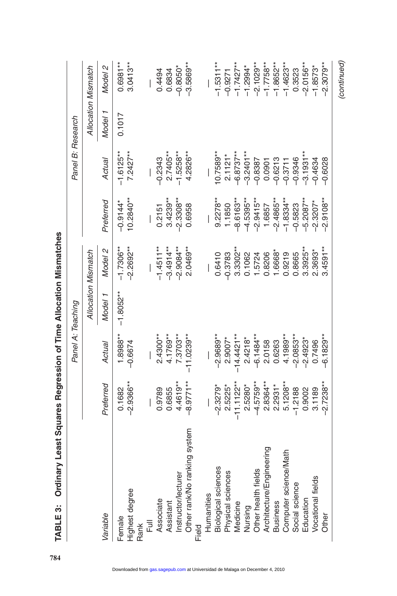|                                                                                                                                        |                       | Panel A: Teaching        |                     |                            |                            | Panel B: Research         |         |                           |
|----------------------------------------------------------------------------------------------------------------------------------------|-----------------------|--------------------------|---------------------|----------------------------|----------------------------|---------------------------|---------|---------------------------|
|                                                                                                                                        |                       |                          | Allocation Mismatch |                            |                            |                           |         | Allocation Mismatch       |
| Variable                                                                                                                               | Preferred             | Actual                   | Model 1             | Model 2                    | Preferred                  | Actual                    | Model 1 | Model 2                   |
| Highest degree<br>Rank<br>Female                                                                                                       | $-2.9366**$<br>0.1682 | $1.8988***$<br>$-0.6674$ | $-1.8052***$        | $-2.2692**$<br>$-1.7306**$ | $10.2840***$<br>$-0.9144*$ | $7.2427**$<br>$-1.6125**$ | 0.1017  | $3.0413**$<br>$0.6981***$ |
| Full                                                                                                                                   |                       |                          |                     |                            |                            |                           |         |                           |
|                                                                                                                                        | 0.9789                | $2.4300***$              |                     | $-1.4511**$                | 0.2151                     | $-0.2343$                 |         | 0.4494                    |
|                                                                                                                                        | 0.6855                | $4.1769**$               |                     | $-3.4914**$                | $3.4239***$                | $2.7405***$               |         | 0.6834                    |
| Associate<br>Assistant<br>Instructor/lecturer                                                                                          | $4.4619**$            | 7.3703**                 |                     | $-2.9084**$                | $-2.3308**$                | $-1.5258***$              |         | $-0.8050*$                |
| Other rank/No ranking system<br>Field                                                                                                  | $-8.9771**$           | $-11.0239**$             |                     | 2.0469**                   | 0.6958                     | 4.2826**                  |         | $-3.5869**$               |
| Humanities                                                                                                                             |                       |                          |                     |                            |                            |                           |         |                           |
|                                                                                                                                        | $-2.3279*$            | $-2.9689**$              |                     | 0.6410                     | $9.2278**$                 | 10.7589**                 |         | $-1.5311***$              |
| Biological sciences<br>Physical sciences<br>Medicine<br>Nursing<br>Other health fields<br>Architecture/Enginee<br>Architecture/Enginee | 2.5225*               | $2.9007*$                |                     | $-0.3783$                  | 1.1850                     | $2.1121$ *                |         | $-0.9271$                 |
|                                                                                                                                        | $-11.1122**$          | $-14.4421***$            |                     | $3.3302**$                 | $-8.6163**$                | $-6.8737***$              |         | $-1.7427**$               |
|                                                                                                                                        | 2.5280*               | $2.4218*$                |                     | 0.1062                     | $-4.5395***$               | $-3.2401***$              |         | $-1.2994*$                |
|                                                                                                                                        | $-4.5759**$           | $-6.1484**$              |                     | 1.5724                     | $-2.9415***$               | $-0.8387$                 |         | $-2.1029**$               |
| neering                                                                                                                                | $2.8364***$           | 2.0158                   |                     | 0.8206                     | 1.6857                     | 0.0901                    |         | $-1.7758**$               |
|                                                                                                                                        | $2.2931*$             | 0.6263                   |                     | 1.6668*                    | $-2.4865***$               | $-0.6213$                 |         | $-1.8652***$              |
| Computer science/Math<br>Social science<br>Education                                                                                   | 5.1208**              | 4.1989**                 |                     | 0.9219                     | $-1.8334***$               | $-0.3711$                 |         | $-1.4623**$               |
|                                                                                                                                        | $-1.2188$             | $-2.0853***$             |                     | 0.8665                     | $-0.5823$                  | $-0.9346$                 |         | 0.3523                    |
|                                                                                                                                        | 0.9002                | $-2.4923*$               |                     | $3.3925***$                | $-5.2087**$                | $-3.1931$ **              |         | $-2.0156**$               |
| <b>Vocational fields</b>                                                                                                               | 3.1189                | 0.7496                   |                     | 2.3693*                    | $-2.3207$ <sup>*</sup>     | $-0.4634$                 |         | $-1.8573*$                |
| Other                                                                                                                                  | $-2.7238***$          | $-6.1829**$              |                     | $3.4591***$                | $-2.9108***$               | $-0.6028$                 |         | $-2.3079***$              |
|                                                                                                                                        |                       |                          |                     |                            |                            |                           |         |                           |

*(continued)*

(continued)

TABLE 3: Ordinary Least Squares Regression of Time Allocation Mismatches **784 TABLE 3: Ordinary Least Squares Regression of Time Allocation Mismatches**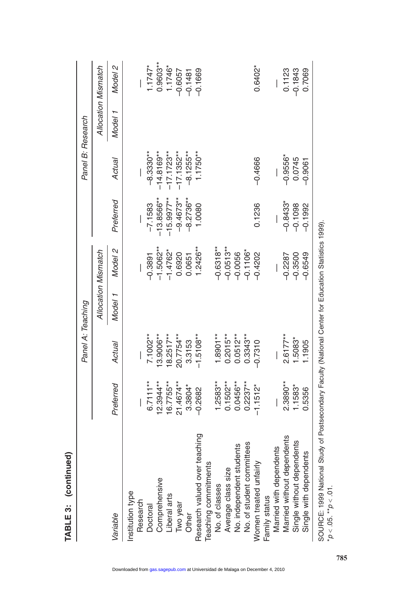|                                                                                                       |             | Panel A: Teaching                                                                                                                                                                                                              |                     |                        |               | Panel B: Research |         |                     |
|-------------------------------------------------------------------------------------------------------|-------------|--------------------------------------------------------------------------------------------------------------------------------------------------------------------------------------------------------------------------------|---------------------|------------------------|---------------|-------------------|---------|---------------------|
|                                                                                                       |             |                                                                                                                                                                                                                                | Allocation Mismatch |                        |               |                   |         | Allocation Mismatch |
| Variable                                                                                              | Preferred   | <b>Actual</b>                                                                                                                                                                                                                  | Model 1             | Model 2                | Preferred     | Actual            | Model 1 | Model 2             |
| Institution type                                                                                      |             |                                                                                                                                                                                                                                |                     |                        |               |                   |         |                     |
| Research                                                                                              |             |                                                                                                                                                                                                                                |                     |                        |               |                   |         |                     |
| Doctoral                                                                                              | $6.711**$   | $7.1002**$                                                                                                                                                                                                                     |                     | $-0.3891$              | $-7.1583$     | $-8.3330**$       |         | $1.1747*$           |
|                                                                                                       | $12.3944**$ | $3.9006**$                                                                                                                                                                                                                     |                     | $-1.5062**$            | $-13.8566***$ | $-14.8169**$      |         | $0.9603***$         |
| Comprehensive<br>Liberal arts                                                                         | 16.7755**   | $18.2517**$                                                                                                                                                                                                                    |                     | $-1.4762$ <sup>*</sup> | $-15.9977**$  | $-17.1723**$      |         | 1.1746*             |
|                                                                                                       | 21.4674**   | 20.7754**                                                                                                                                                                                                                      |                     | 0.6920                 | $-9.4673**$   | $-17.1352**$      |         | $-0.6057$           |
| Two year<br>Other                                                                                     | 3.3804*     | 3.3153                                                                                                                                                                                                                         |                     | 0.0651                 | $-8.2736**$   | $-8.1255***$      |         | $-0.1481$           |
| Research valued over teaching                                                                         | $-0.2682$   | $-1.5108**$                                                                                                                                                                                                                    |                     | $1.2426**$             | 1.0080        | $1.1750**$        |         | $-0.1669$           |
|                                                                                                       |             |                                                                                                                                                                                                                                |                     |                        |               |                   |         |                     |
| Teaching commitments<br>No. of classes                                                                | $1.2583***$ | $1.8901***$                                                                                                                                                                                                                    |                     | $-0.6318***$           |               |                   |         |                     |
|                                                                                                       | $0.1502***$ | $0.2015***$                                                                                                                                                                                                                    |                     | $-0.0513***$           |               |                   |         |                     |
|                                                                                                       | $0.0456***$ | $0.0512**$                                                                                                                                                                                                                     |                     | $-0.0056$              |               |                   |         |                     |
|                                                                                                       | $0.2237***$ | $0.3343***$                                                                                                                                                                                                                    |                     | $-0.1106*$             |               |                   |         |                     |
| Average class size<br>No. independent students<br>No. of student committees<br>Women treated unfairly | $-1.1512*$  | $-0.7310$                                                                                                                                                                                                                      |                     | $-0.4202$              | 0.1236        | $-0.4666$         |         | 0.6402*             |
| Family status<br>Married with dependents<br>Married without dependents                                |             |                                                                                                                                                                                                                                |                     |                        |               |                   |         |                     |
|                                                                                                       |             |                                                                                                                                                                                                                                |                     |                        |               |                   |         | I                   |
|                                                                                                       | 2.3890**    | $2.6177***$                                                                                                                                                                                                                    |                     | $-0.2287$              | $-0.8433*$    | $-0.9556*$        |         | 0.1123              |
| Single without dependents                                                                             | 1.1583*     | 1.5083*                                                                                                                                                                                                                        |                     | $-0.3500$              | $-0.1098$     | 0.0745            |         | $-0.1843$           |
| Single with dependents                                                                                | 0.5356      | 1,1905                                                                                                                                                                                                                         |                     | $-0.6549$              | $-0.1992$     | $-0.9061$         |         | 0.7069              |
| COLLECT: 4000 MILLE                                                                                   |             | CONTRACT TO THE STATE OF THE STATE OF THE STATE OF THE STATE OF THE STATE OF THE STATE OF THE STATE OF THE STATE OF THE STATE OF THE STATE OF THE STATE OF THE STATE OF THE STATE OF THE STATE OF THE STATE OF THE STATE OF TH |                     |                        |               |                   |         |                     |

SOURCE: 1999 National Study of Postsecondary Faculty (National Center for Education Statistics 1999).<br>\*p < .05. \*\*p < .01. SOURCE: 1999 National Study of Postsecondary Faculty (National Center for Education Statistics 1999). \**p* < .05. \*\**p* < .01.

**TABLE 3: (continued)**

TABLE 3: (continued)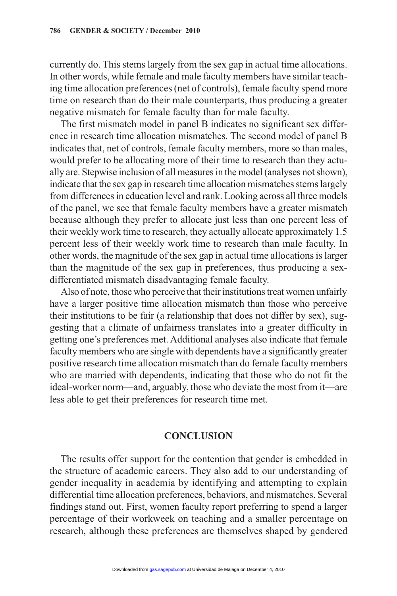currently do. This stems largely from the sex gap in actual time allocations. In other words, while female and male faculty members have similar teaching time allocation preferences (net of controls), female faculty spend more time on research than do their male counterparts, thus producing a greater negative mismatch for female faculty than for male faculty.

The first mismatch model in panel B indicates no significant sex difference in research time allocation mismatches. The second model of panel B indicates that, net of controls, female faculty members, more so than males, would prefer to be allocating more of their time to research than they actually are. Stepwise inclusion of all measures in the model (analyses not shown), indicate that the sex gap in research time allocation mismatches stems largely from differences in education level and rank. Looking across all three models of the panel, we see that female faculty members have a greater mismatch because although they prefer to allocate just less than one percent less of their weekly work time to research, they actually allocate approximately 1.5 percent less of their weekly work time to research than male faculty. In other words, the magnitude of the sex gap in actual time allocations is larger than the magnitude of the sex gap in preferences, thus producing a sexdifferentiated mismatch disadvantaging female faculty.

Also of note, those who perceive that their institutions treat women unfairly have a larger positive time allocation mismatch than those who perceive their institutions to be fair (a relationship that does not differ by sex), suggesting that a climate of unfairness translates into a greater difficulty in getting one's preferences met. Additional analyses also indicate that female faculty members who are single with dependents have a significantly greater positive research time allocation mismatch than do female faculty members who are married with dependents, indicating that those who do not fit the ideal-worker norm—and, arguably, those who deviate the most from it—are less able to get their preferences for research time met.

#### **CONCLUSION**

The results offer support for the contention that gender is embedded in the structure of academic careers. They also add to our understanding of gender inequality in academia by identifying and attempting to explain differential time allocation preferences, behaviors, and mismatches. Several findings stand out. First, women faculty report preferring to spend a larger percentage of their workweek on teaching and a smaller percentage on research, although these preferences are themselves shaped by gendered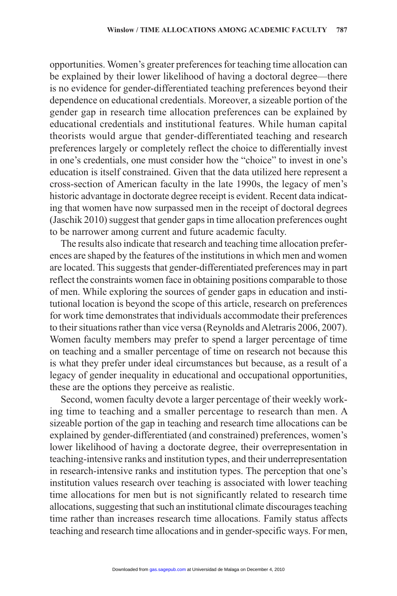opportunities. Women's greater preferences for teaching time allocation can be explained by their lower likelihood of having a doctoral degree—there is no evidence for gender-differentiated teaching preferences beyond their dependence on educational credentials. Moreover, a sizeable portion of the gender gap in research time allocation preferences can be explained by educational credentials and institutional features. While human capital theorists would argue that gender-differentiated teaching and research preferences largely or completely reflect the choice to differentially invest in one's credentials, one must consider how the "choice" to invest in one's education is itself constrained. Given that the data utilized here represent a cross-section of American faculty in the late 1990s, the legacy of men's historic advantage in doctorate degree receipt is evident. Recent data indicating that women have now surpassed men in the receipt of doctoral degrees (Jaschik 2010) suggest that gender gaps in time allocation preferences ought to be narrower among current and future academic faculty.

The results also indicate that research and teaching time allocation preferences are shaped by the features of the institutions in which men and women are located. This suggests that gender-differentiated preferences may in part reflect the constraints women face in obtaining positions comparable to those of men. While exploring the sources of gender gaps in education and institutional location is beyond the scope of this article, research on preferences for work time demonstrates that individuals accommodate their preferences to their situations rather than vice versa (Reynolds and Aletraris 2006, 2007). Women faculty members may prefer to spend a larger percentage of time on teaching and a smaller percentage of time on research not because this is what they prefer under ideal circumstances but because, as a result of a legacy of gender inequality in educational and occupational opportunities, these are the options they perceive as realistic.

Second, women faculty devote a larger percentage of their weekly working time to teaching and a smaller percentage to research than men. A sizeable portion of the gap in teaching and research time allocations can be explained by gender-differentiated (and constrained) preferences, women's lower likelihood of having a doctorate degree, their overrepresentation in teaching-intensive ranks and institution types, and their underrepresentation in research-intensive ranks and institution types. The perception that one's institution values research over teaching is associated with lower teaching time allocations for men but is not significantly related to research time allocations, suggesting that such an institutional climate discourages teaching time rather than increases research time allocations. Family status affects teaching and research time allocations and in gender-specific ways. For men,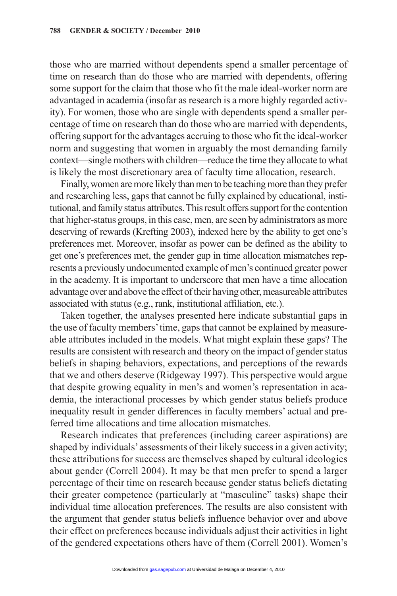those who are married without dependents spend a smaller percentage of time on research than do those who are married with dependents, offering some support for the claim that those who fit the male ideal-worker norm are advantaged in academia (insofar as research is a more highly regarded activity). For women, those who are single with dependents spend a smaller percentage of time on research than do those who are married with dependents, offering support for the advantages accruing to those who fit the ideal-worker norm and suggesting that women in arguably the most demanding family context—single mothers with children—reduce the time they allocate to what is likely the most discretionary area of faculty time allocation, research.

Finally, women are more likely than men to be teaching more than they prefer and researching less, gaps that cannot be fully explained by educational, institutional, and family status attributes. This result offers support for the contention that higher-status groups, in this case, men, are seen by administrators as more deserving of rewards (Krefting 2003), indexed here by the ability to get one's preferences met. Moreover, insofar as power can be defined as the ability to get one's preferences met, the gender gap in time allocation mismatches represents a previously undocumented example of men's continued greater power in the academy. It is important to underscore that men have a time allocation advantage over and above the effect of their having other, measureable attributes associated with status (e.g., rank, institutional affiliation, etc.).

Taken together, the analyses presented here indicate substantial gaps in the use of faculty members' time, gaps that cannot be explained by measureable attributes included in the models. What might explain these gaps? The results are consistent with research and theory on the impact of gender status beliefs in shaping behaviors, expectations, and perceptions of the rewards that we and others deserve (Ridgeway 1997). This perspective would argue that despite growing equality in men's and women's representation in academia, the interactional processes by which gender status beliefs produce inequality result in gender differences in faculty members' actual and preferred time allocations and time allocation mismatches.

Research indicates that preferences (including career aspirations) are shaped by individuals' assessments of their likely success in a given activity; these attributions for success are themselves shaped by cultural ideologies about gender (Correll 2004). It may be that men prefer to spend a larger percentage of their time on research because gender status beliefs dictating their greater competence (particularly at "masculine" tasks) shape their individual time allocation preferences. The results are also consistent with the argument that gender status beliefs influence behavior over and above their effect on preferences because individuals adjust their activities in light of the gendered expectations others have of them (Correll 2001). Women's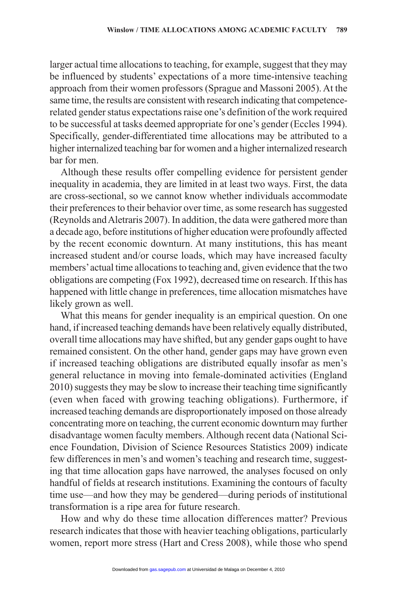larger actual time allocations to teaching, for example, suggest that they may be influenced by students' expectations of a more time-intensive teaching approach from their women professors (Sprague and Massoni 2005). At the same time, the results are consistent with research indicating that competencerelated gender status expectations raise one's definition of the work required to be successful at tasks deemed appropriate for one's gender (Eccles 1994). Specifically, gender-differentiated time allocations may be attributed to a higher internalized teaching bar for women and a higher internalized research bar for men.

Although these results offer compelling evidence for persistent gender inequality in academia, they are limited in at least two ways. First, the data are cross-sectional, so we cannot know whether individuals accommodate their preferences to their behavior over time, as some research has suggested (Reynolds and Aletraris 2007). In addition, the data were gathered more than a decade ago, before institutions of higher education were profoundly affected by the recent economic downturn. At many institutions, this has meant increased student and/or course loads, which may have increased faculty members' actual time allocations to teaching and, given evidence that the two obligations are competing (Fox 1992), decreased time on research. If this has happened with little change in preferences, time allocation mismatches have likely grown as well.

What this means for gender inequality is an empirical question. On one hand, if increased teaching demands have been relatively equally distributed, overall time allocations may have shifted, but any gender gaps ought to have remained consistent. On the other hand, gender gaps may have grown even if increased teaching obligations are distributed equally insofar as men's general reluctance in moving into female-dominated activities (England 2010) suggests they may be slow to increase their teaching time significantly (even when faced with growing teaching obligations). Furthermore, if increased teaching demands are disproportionately imposed on those already concentrating more on teaching, the current economic downturn may further disadvantage women faculty members. Although recent data (National Science Foundation, Division of Science Resources Statistics 2009) indicate few differences in men's and women's teaching and research time, suggesting that time allocation gaps have narrowed, the analyses focused on only handful of fields at research institutions. Examining the contours of faculty time use—and how they may be gendered—during periods of institutional transformation is a ripe area for future research.

How and why do these time allocation differences matter? Previous research indicates that those with heavier teaching obligations, particularly women, report more stress (Hart and Cress 2008), while those who spend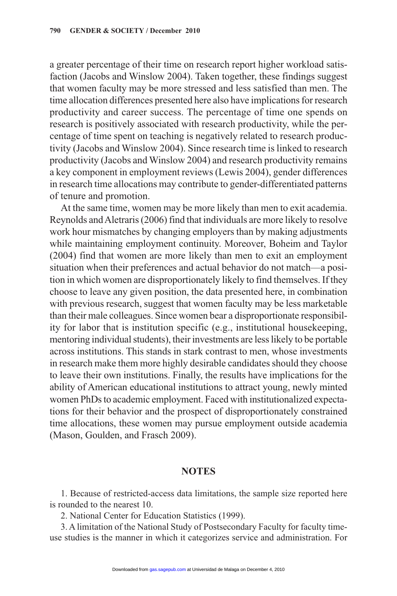a greater percentage of their time on research report higher workload satisfaction (Jacobs and Winslow 2004). Taken together, these findings suggest that women faculty may be more stressed and less satisfied than men. The time allocation differences presented here also have implications for research productivity and career success. The percentage of time one spends on research is positively associated with research productivity, while the percentage of time spent on teaching is negatively related to research productivity (Jacobs and Winslow 2004). Since research time is linked to research productivity (Jacobs and Winslow 2004) and research productivity remains a key component in employment reviews (Lewis 2004), gender differences in research time allocations may contribute to gender-differentiated patterns of tenure and promotion.

At the same time, women may be more likely than men to exit academia. Reynolds and Aletraris (2006) find that individuals are more likely to resolve work hour mismatches by changing employers than by making adjustments while maintaining employment continuity. Moreover, Boheim and Taylor (2004) find that women are more likely than men to exit an employment situation when their preferences and actual behavior do not match—a position in which women are disproportionately likely to find themselves. If they choose to leave any given position, the data presented here, in combination with previous research, suggest that women faculty may be less marketable than their male colleagues. Since women bear a disproportionate responsibility for labor that is institution specific (e.g., institutional housekeeping, mentoring individual students), their investments are less likely to be portable across institutions. This stands in stark contrast to men, whose investments in research make them more highly desirable candidates should they choose to leave their own institutions. Finally, the results have implications for the ability of American educational institutions to attract young, newly minted women PhDs to academic employment. Faced with institutionalized expectations for their behavior and the prospect of disproportionately constrained time allocations, these women may pursue employment outside academia (Mason, Goulden, and Frasch 2009).

#### **NOTES**

1. Because of restricted-access data limitations, the sample size reported here is rounded to the nearest 10.

2. National Center for Education Statistics (1999).

3. A limitation of the National Study of Postsecondary Faculty for faculty timeuse studies is the manner in which it categorizes service and administration. For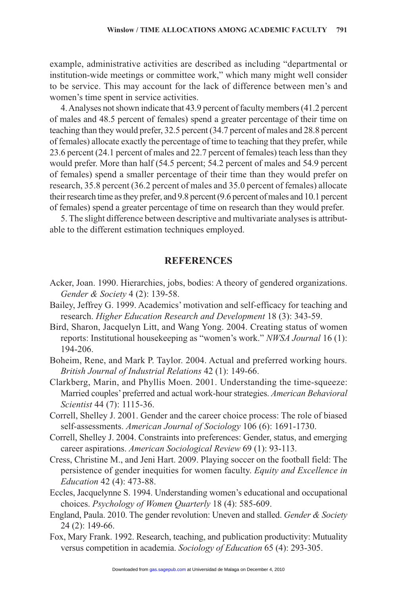example, administrative activities are described as including "departmental or institution-wide meetings or committee work," which many might well consider to be service. This may account for the lack of difference between men's and women's time spent in service activities.

4. Analyses not shown indicate that 43.9 percent of faculty members (41.2 percent of males and 48.5 percent of females) spend a greater percentage of their time on teaching than they would prefer, 32.5 percent (34.7 percent of males and 28.8 percent of females) allocate exactly the percentage of time to teaching that they prefer, while 23.6 percent (24.1 percent of males and 22.7 percent of females) teach less than they would prefer. More than half (54.5 percent; 54.2 percent of males and 54.9 percent of females) spend a smaller percentage of their time than they would prefer on research, 35.8 percent (36.2 percent of males and 35.0 percent of females) allocate their research time as they prefer, and 9.8 percent (9.6 percent of males and 10.1 percent of females) spend a greater percentage of time on research than they would prefer.

5. The slight difference between descriptive and multivariate analyses is attributable to the different estimation techniques employed.

#### **REFERENCES**

- Acker, Joan. 1990. Hierarchies, jobs, bodies: A theory of gendered organizations. *Gender & Society* 4 (2): 139-58.
- Bailey, Jeffrey G. 1999. Academics' motivation and self-efficacy for teaching and research. *Higher Education Research and Development* 18 (3): 343-59.
- Bird, Sharon, Jacquelyn Litt, and Wang Yong. 2004. Creating status of women reports: Institutional housekeeping as "women's work." *NWSA Journal* 16 (1): 194-206.
- Boheim, Rene, and Mark P. Taylor. 2004. Actual and preferred working hours. *British Journal of Industrial Relations* 42 (1): 149-66.
- Clarkberg, Marin, and Phyllis Moen. 2001. Understanding the time-squeeze: Married couples' preferred and actual work-hour strategies. *American Behavioral Scientist* 44 (7): 1115-36.
- Correll, Shelley J. 2001. Gender and the career choice process: The role of biased self-assessments. *American Journal of Sociology* 106 (6): 1691-1730.
- Correll, Shelley J. 2004. Constraints into preferences: Gender, status, and emerging career aspirations. *American Sociological Review* 69 (1): 93-113.
- Cress, Christine M., and Jeni Hart. 2009. Playing soccer on the football field: The persistence of gender inequities for women faculty. *Equity and Excellence in Education* 42 (4): 473-88.
- Eccles, Jacquelynne S. 1994. Understanding women's educational and occupational choices. *Psychology of Women Quarterly* 18 (4): 585-609.
- England, Paula. 2010. The gender revolution: Uneven and stalled. *Gender & Society* 24 (2): 149-66.
- Fox, Mary Frank. 1992. Research, teaching, and publication productivity: Mutuality versus competition in academia. *Sociology of Education* 65 (4): 293-305.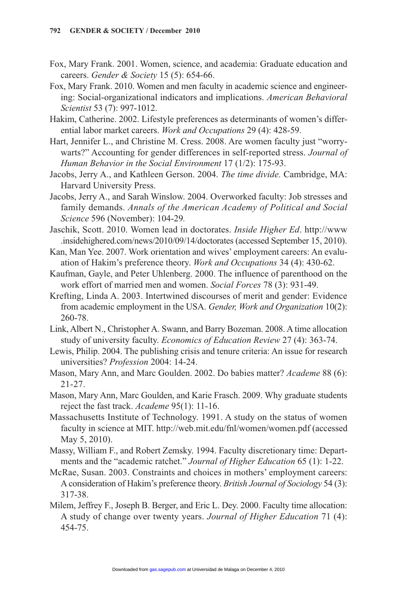- Fox, Mary Frank. 2001. Women, science, and academia: Graduate education and careers. *Gender & Society* 15 (5): 654-66.
- Fox, Mary Frank. 2010. Women and men faculty in academic science and engineering: Social-organizational indicators and implications. *American Behavioral Scientist* 53 (7): 997-1012.
- Hakim, Catherine. 2002. Lifestyle preferences as determinants of women's differential labor market careers. *Work and Occupations* 29 (4): 428-59.
- Hart, Jennifer L., and Christine M. Cress. 2008. Are women faculty just "worrywarts?" Accounting for gender differences in self-reported stress. *Journal of Human Behavior in the Social Environment* 17 (1/2): 175-93.
- Jacobs, Jerry A., and Kathleen Gerson. 2004. *The time divide.* Cambridge, MA: Harvard University Press.
- Jacobs, Jerry A., and Sarah Winslow. 2004. Overworked faculty: Job stresses and family demands. *Annals of the American Academy of Political and Social Science* 596 (November): 104-29*.*
- Jaschik, Scott. 2010. Women lead in doctorates. *Inside Higher Ed*. http://www .insidehighered.com/news/2010/09/14/doctorates (accessed September 15, 2010).
- Kan, Man Yee. 2007. Work orientation and wives' employment careers: An evaluation of Hakim's preference theory. *Work and Occupations* 34 (4): 430-62.
- Kaufman, Gayle, and Peter Uhlenberg. 2000. The influence of parenthood on the work effort of married men and women. *Social Forces* 78 (3): 931-49.
- Krefting, Linda A. 2003. Intertwined discourses of merit and gender: Evidence from academic employment in the USA. *Gender, Work and Organization* 10(2): 260-78.
- Link, Albert N., Christopher A. Swann, and Barry Bozeman. 2008. A time allocation study of university faculty. *Economics of Education Review* 27 (4): 363-74.
- Lewis, Philip. 2004. The publishing crisis and tenure criteria: An issue for research universities? *Profession* 2004: 14-24.
- Mason, Mary Ann, and Marc Goulden. 2002. Do babies matter? *Academe* 88 (6): 21-27.
- Mason, Mary Ann, Marc Goulden, and Karie Frasch. 2009. Why graduate students reject the fast track. *Academe* 95(1): 11-16.
- Massachusetts Institute of Technology. 1991. A study on the status of women faculty in science at MIT. http://web.mit.edu/fnl/women/women.pdf (accessed May 5, 2010).
- Massy, William F., and Robert Zemsky. 1994. Faculty discretionary time: Departments and the "academic ratchet." *Journal of Higher Education* 65 (1): 1-22.
- McRae, Susan. 2003. Constraints and choices in mothers' employment careers: A consideration of Hakim's preference theory. *British Journal of Sociology* 54 (3): 317-38.
- Milem, Jeffrey F., Joseph B. Berger, and Eric L. Dey. 2000. Faculty time allocation: A study of change over twenty years. *Journal of Higher Education* 71 (4): 454-75.